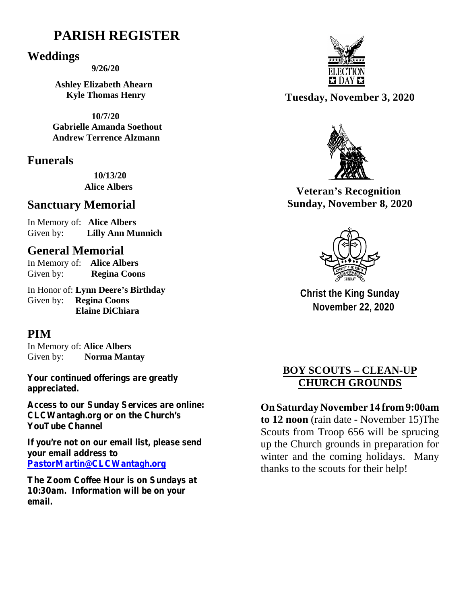# **PARISH REGISTER**

### **Weddings**

 **9/26/20**

 **Ashley Elizabeth Ahearn Kyle Thomas Henry**

 **10/7/20 Gabrielle Amanda Soethout Andrew Terrence Alzmann**

## **Funerals**

 **10/13/20 Alice Albers**

## **Sanctuary Memorial**

In Memory of: **Alice Albers**  Given by: **Lilly Ann Munnich**

## **General Memorial**

In Memory of: **Alice Albers** Given by: **Regina Coons**

In Honor of: **Lynn Deere's Birthday** Given by: **Regina Coons Elaine DiChiara**

## **PIM**

In Memory of: **Alice Albers**  Given by: **Norma Mantay** 

**Your continued offerings are greatly appreciated.**

**Access to our Sunday Services are online: CLCWantagh.org or on the Church's YouTube Channel** 

**If you're not on our email list, please send your email address to [PastorMartin@CLCWantagh.org](mailto:PastorMartin@CLCWantagh.org)**

**The Zoom Coffee Hour is on Sundays at 10:30am. Information will be on your email.**



**Tuesday, November 3, 2020**



**Veteran's Recognition Sunday, November 8, 2020**



**Christ the King Sunday November 22, 2020**

## **BOY SCOUTS – CLEAN-UP CHURCH GROUNDS**

**On Saturday November 14 from9:00am to 12 noon** (rain date - November 15)The Scouts from Troop 656 will be sprucing up the Church grounds in preparation for winter and the coming holidays. Many thanks to the scouts for their help!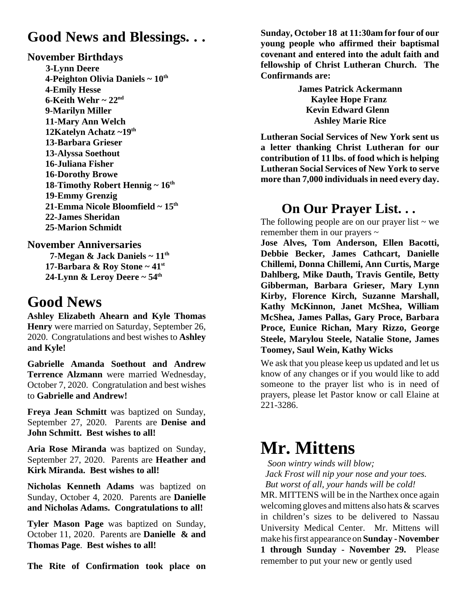# **Good News and Blessings. . .**

#### **November Birthdays**

 **3-Lynn Deere 4-Peighton Olivia Daniels ~ 10th 4-Emily Hesse 6-Keith Wehr ~ 22nd 9-Marilyn Miller 11-Mary Ann Welch 12Katelyn Achatz ~19th 13-Barbara Grieser 13-Alyssa Soethout 16-Juliana Fisher 16-Dorothy Browe 18-Timothy Robert Hennig ~ 16th 19-Emmy Grenzig 21-Emma Nicole Bloomfield ~ 15th 22-James Sheridan 25-Marion Schmidt** 

**November Anniversaries 7-Megan & Jack Daniels ~ 11th 17-Barbara & Roy Stone ~ 41st 24-Lynn & Leroy Deere ~ 54th** 

# **Good News**

**Ashley Elizabeth Ahearn and Kyle Thomas Henry** were married on Saturday, September 26, 2020. Congratulations and best wishes to **Ashley and Kyle!**

**Gabrielle Amanda Soethout and Andrew Terrence Alzmann** were married Wednesday, October 7, 2020. Congratulation and best wishes to **Gabrielle and Andrew!**

**Freya Jean Schmitt** was baptized on Sunday, September 27, 2020. Parents are **Denise and John Schmitt. Best wishes to all!**

**Aria Rose Miranda** was baptized on Sunday, September 27, 2020. Parents are **Heather and Kirk Miranda. Best wishes to all!**

**Nicholas Kenneth Adams** was baptized on Sunday, October 4, 2020. Parents are **Danielle and Nicholas Adams. Congratulations to all!**

**Tyler Mason Page** was baptized on Sunday, October 11, 2020. Parents are **Danielle & and Thomas Page**. **Best wishes to all!**

**The Rite of Confirmation took place on**

**Sunday, October 18 at 11:30am for four of our young people who affirmed their baptismal covenant and entered into the adult faith and fellowship of Christ Lutheran Church. The Confirmands are:** 

> **James Patrick Ackermann Kaylee Hope Franz Kevin Edward Glenn Ashley Marie Rice**

**Lutheran Social Services of New York sent us a letter thanking Christ Lutheran for our contribution of 11 lbs. of food which is helping Lutheran Social Services of New York to serve more than 7,000 individuals in need every day.** 

## **On Our Prayer List. . .**

The following people are on our prayer list  $\sim$  we remember them in our prayers  $\sim$ 

**Jose Alves, Tom Anderson, Ellen Bacotti, Debbie Becker, James Cathcart, Danielle Chillemi, Donna Chillemi, Ann Curtis, Marge Dahlberg, Mike Dauth, Travis Gentile, Betty Gibberman, Barbara Grieser, Mary Lynn Kirby, Florence Kirch, Suzanne Marshall, Kathy McKinnon, Janet McShea, William McShea, James Pallas, Gary Proce, Barbara Proce, Eunice Richan, Mary Rizzo, George Steele, Marylou Steele, Natalie Stone, James Toomey, Saul Wein, Kathy Wicks**

We ask that you please keep us updated and let us know of any changes or if you would like to add someone to the prayer list who is in need of prayers, please let Pastor know or call Elaine at 221-3286.

# **Mr. Mittens**

*Soon wintry winds will blow;*

 *Jack Frost will nip your nose and your toes. But worst of all, your hands will be cold!*

MR. MITTENS will be in the Narthex once again welcoming gloves and mittens also hats & scarves in children's sizes to be delivered to Nassau University Medical Center. Mr. Mittens will make his first appearance on **Sunday -November 1 through Sunday - November 29.** Please remember to put your new or gently used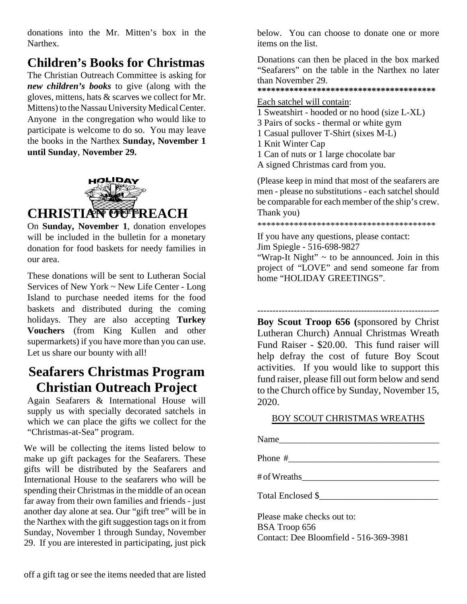donations into the Mr. Mitten's box in the Narthex.

# **Children's Books for Christmas**

The Christian Outreach Committee is asking for *new children's books* to give (along with the gloves, mittens, hats & scarves we collect for Mr. Mittens) to the Nassau University Medical Center. Anyone in the congregation who would like to participate is welcome to do so. You may leave the books in the Narthex **Sunday, November 1 until Sunday**, **November 29.**



On **Sunday, November 1**, donation envelopes will be included in the bulletin for a monetary donation for food baskets for needy families in our area.

These donations will be sent to Lutheran Social Services of New York ~ New Life Center - Long Island to purchase needed items for the food baskets and distributed during the coming holidays. They are also accepting **Turkey Vouchers** (from King Kullen and other supermarkets) if you have more than you can use. Let us share our bounty with all!

# **Seafarers Christmas Program Christian Outreach Project**

Again Seafarers & International House will supply us with specially decorated satchels in which we can place the gifts we collect for the "Christmas-at-Sea" program.

We will be collecting the items listed below to make up gift packages for the Seafarers. These gifts will be distributed by the Seafarers and International House to the seafarers who will be spending their Christmas in the middle of an ocean far away from their own families and friends - just another day alone at sea. Our "gift tree" will be in the Narthex with the gift suggestion tags on it from Sunday, November 1 through Sunday, November 29. If you are interested in participating, just pick below. You can choose to donate one or more items on the list.

Donations can then be placed in the box marked "Seafarers" on the table in the Narthex no later than November 29.

**\*\*\*\*\*\*\*\*\*\*\*\*\*\*\*\*\*\*\*\*\*\*\*\*\*\*\*\*\*\*\*\*\*\*\*\*\*\*\***

#### Each satchel will contain:

- 1 Sweatshirt hooded or no hood (size L-XL)
- 3 Pairs of socks thermal or white gym
- 1 Casual pullover T-Shirt (sixes M-L)
- 1 Knit Winter Cap
- 1 Can of nuts or 1 large chocolate bar
- A signed Christmas card from you.

(Please keep in mind that most of the seafarers are men - please no substitutions - each satchel should be comparable for each member of the ship's crew. Thank you)

\*\*\*\*\*\*\*\*\*\*\*\*\*\*\*\*\*\*\*\*\*\*\*\*\*\*\*\*\*\*\*\*\*\*\*\*\*\*\*

If you have any questions, please contact: Jim Spiegle - 516-698-9827

"Wrap-It Night" ~ to be announced. Join in this project of "LOVE" and send someone far from home "HOLIDAY GREETINGS".

------------------------------------------------------------- **Boy Scout Troop 656 (**sponsored by Christ Lutheran Church) Annual Christmas Wreath Fund Raiser - \$20.00. This fund raiser will help defray the cost of future Boy Scout activities. If you would like to support this fund raiser, please fill out form below and send to the Church office by Sunday, November 15, 2020.

#### BOY SCOUT CHRISTMAS WREATHS

Name

Phone #

# ofWreaths\_\_\_\_\_\_\_\_\_\_\_\_\_\_\_\_\_\_\_\_\_\_\_\_\_\_\_\_\_\_

Total Enclosed \$\_\_\_\_\_\_\_\_\_\_\_\_\_\_\_\_\_\_\_\_\_\_\_\_\_\_

Please make checks out to: BSA Troop 656 Contact: Dee Bloomfield - 516-369-3981